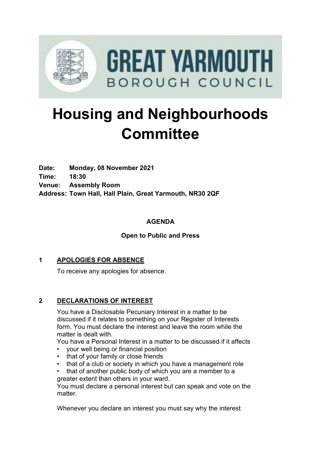

# **Housing and Neighbourhoods Committee**

**Date: Monday, 08 November 2021 Time: 18:30 Venue: Assembly Room Address: Town Hall, Hall Plain, Great Yarmouth, NR30 2QF**

### **AGENDA**

### **Open to Public and Press**

### **1 APOLOGIES FOR ABSENCE**

To receive any apologies for absence.

### **2 DECLARATIONS OF INTEREST**

You have a Disclosable Pecuniary Interest in a matter to be discussed if it relates to something on your Register of Interests form. You must declare the interest and leave the room while the matter is dealt with.

You have a Personal Interest in a matter to be discussed if it affects

- your well being or financial position
- that of your family or close friends
- that of a club or society in which you have a management role
- that of another public body of which you are a member to a greater extent than others in your ward.

You must declare a personal interest but can speak and vote on the matter

Whenever you declare an interest you must say why the interest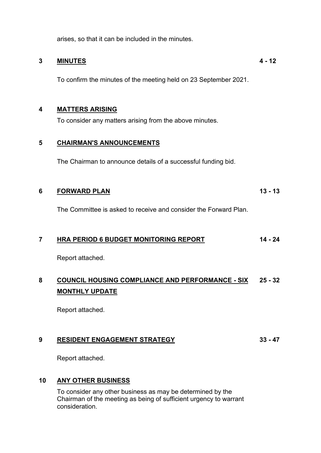arises, so that it can be included in the minutes.

### **3 MINUTES**

To confirm the minutes of the meeting held on 23 September 2021.

**4 - 12**

### **4 MATTERS ARISING**

To consider any matters arising from the above minutes.

### **5 CHAIRMAN'S ANNOUNCEMENTS**

The Chairman to announce details of a successful funding bid.

#### **6 FORWARD PLAN 13 - 13**

The Committee is asked to receive and consider the Forward Plan.

#### **7 HRA PERIOD 6 BUDGET MONITORING REPORT 14 - 24**

Report attached.

### **8 COUNCIL HOUSING COMPLIANCE AND PERFORMANCE - SIX MONTHLY UPDATE 25 - 32**

Report attached.

#### **9 RESIDENT ENGAGEMENT STRATEGY 33 - 47**

Report attached.

### **10 ANY OTHER BUSINESS**

To consider any other business as may be determined by the Chairman of the meeting as being of sufficient urgency to warrant consideration.